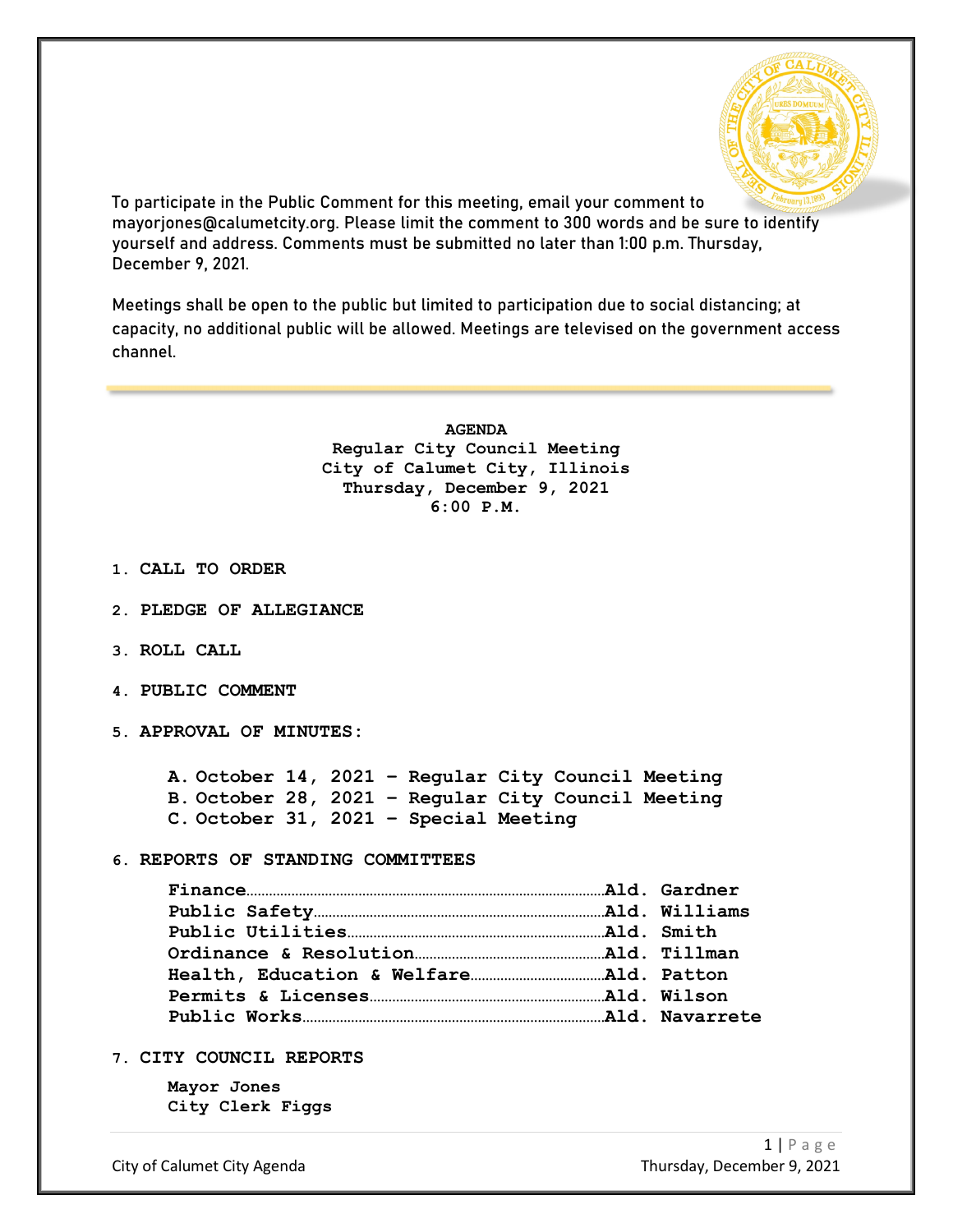

To participate in the Public Comment for this meeting, email your comment to mayorjones@calumetcity.org. Please limit the comment to 300 words and be sure to identify yourself and address. Comments must be submitted no later than 1:00 p.m. Thursday, December 9, 2021.

Meetings shall be open to the public but limited to participation due to social distancing; at capacity, no additional public will be allowed. Meetings are televised on the government access channel.

> **AGENDA Regular City Council Meeting City of Calumet City, Illinois Thursday, December 9, 2021 6:00 P.M.**

- **1. CALL TO ORDER**
- **2. PLEDGE OF ALLEGIANCE**
- **3. ROLL CALL**
- **4. PUBLIC COMMENT**
- **5. APPROVAL OF MINUTES:**

**A. October 14, 2021 – Regular City Council Meeting B. October 28, 2021 – Regular City Council Meeting C. October 31, 2021 – Special Meeting**

**6. REPORTS OF STANDING COMMITTEES**

**7. CITY COUNCIL REPORTS**

**Mayor Jones City Clerk Figgs**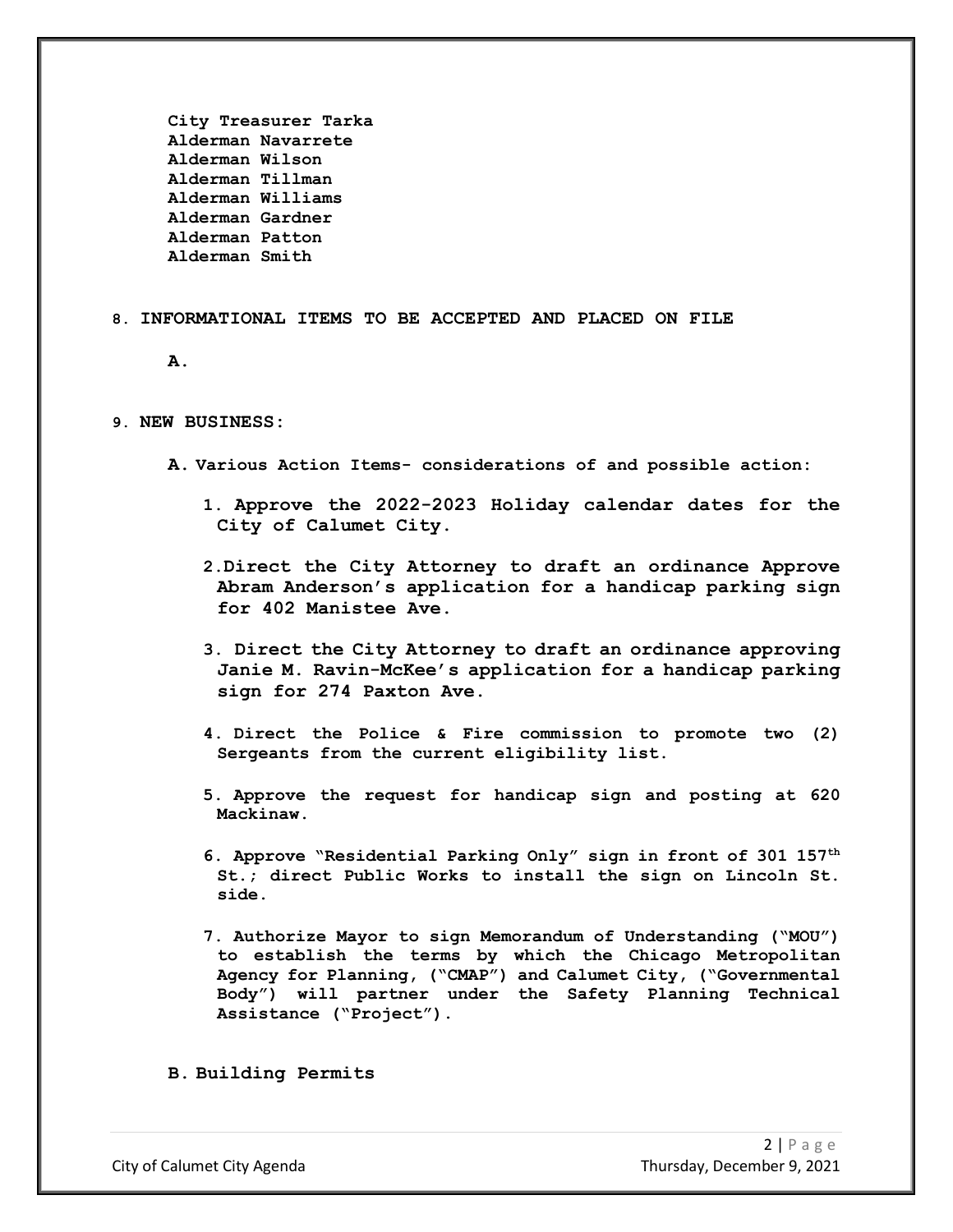**City Treasurer Tarka Alderman Navarrete Alderman Wilson Alderman Tillman Alderman Williams Alderman Gardner Alderman Patton Alderman Smith**

## **8. INFORMATIONAL ITEMS TO BE ACCEPTED AND PLACED ON FILE**

**A.**

## **9. NEW BUSINESS:**

- **A. Various Action Items- considerations of and possible action:**
	- **1. Approve the 2022-2023 Holiday calendar dates for the City of Calumet City.**
	- **2.Direct the City Attorney to draft an ordinance Approve Abram Anderson's application for a handicap parking sign for 402 Manistee Ave.**
	- **3. Direct the City Attorney to draft an ordinance approving Janie M. Ravin-McKee's application for a handicap parking sign for 274 Paxton Ave.**
	- **4. Direct the Police & Fire commission to promote two (2) Sergeants from the current eligibility list.**
	- **5. Approve the request for handicap sign and posting at 620 Mackinaw.**
	- **6. Approve "Residential Parking Only" sign in front of 301 157th St.; direct Public Works to install the sign on Lincoln St. side.**
	- **7. Authorize Mayor to sign Memorandum of Understanding ("MOU") to establish the terms by which the Chicago Metropolitan Agency for Planning, ("CMAP") and Calumet City, ("Governmental Body") will partner under the Safety Planning Technical Assistance ("Project").**

**B. Building Permits**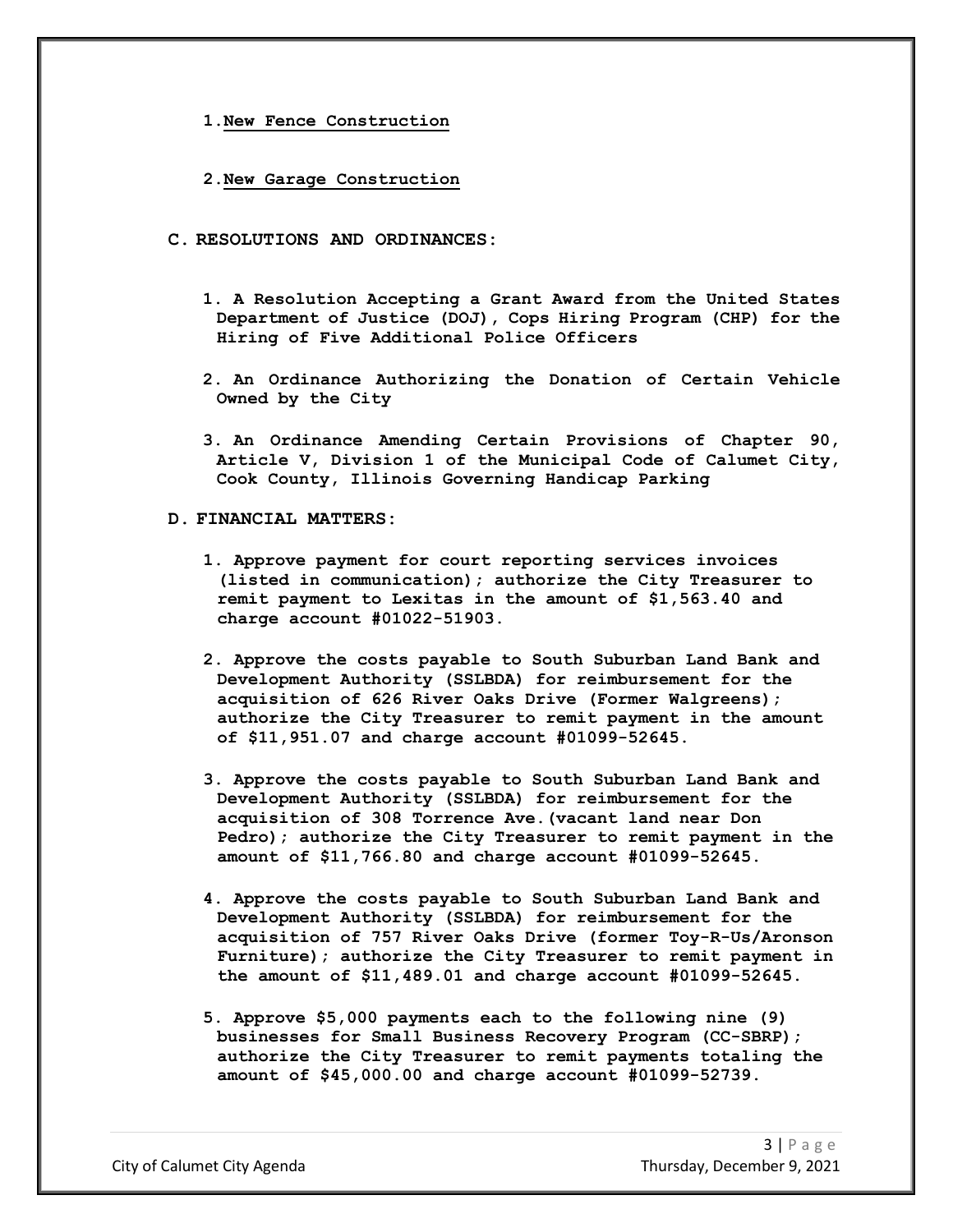**1.New Fence Construction**

- **2.New Garage Construction**
- **C. RESOLUTIONS AND ORDINANCES:**
	- **1. A Resolution Accepting a Grant Award from the United States Department of Justice (DOJ), Cops Hiring Program (CHP) for the Hiring of Five Additional Police Officers**
	- **2. An Ordinance Authorizing the Donation of Certain Vehicle Owned by the City**
	- **3. An Ordinance Amending Certain Provisions of Chapter 90, Article V, Division 1 of the Municipal Code of Calumet City, Cook County, Illinois Governing Handicap Parking**
- **D. FINANCIAL MATTERS:**
	- **1. Approve payment for court reporting services invoices (listed in communication); authorize the City Treasurer to remit payment to Lexitas in the amount of \$1,563.40 and charge account #01022-51903.**
	- **2. Approve the costs payable to South Suburban Land Bank and Development Authority (SSLBDA) for reimbursement for the acquisition of 626 River Oaks Drive (Former Walgreens); authorize the City Treasurer to remit payment in the amount of \$11,951.07 and charge account #01099-52645.**
	- **3. Approve the costs payable to South Suburban Land Bank and Development Authority (SSLBDA) for reimbursement for the acquisition of 308 Torrence Ave.(vacant land near Don Pedro); authorize the City Treasurer to remit payment in the amount of \$11,766.80 and charge account #01099-52645.**
	- **4. Approve the costs payable to South Suburban Land Bank and Development Authority (SSLBDA) for reimbursement for the acquisition of 757 River Oaks Drive (former Toy-R-Us/Aronson Furniture); authorize the City Treasurer to remit payment in the amount of \$11,489.01 and charge account #01099-52645.**
	- **5. Approve \$5,000 payments each to the following nine (9) businesses for Small Business Recovery Program (CC-SBRP); authorize the City Treasurer to remit payments totaling the amount of \$45,000.00 and charge account #01099-52739.**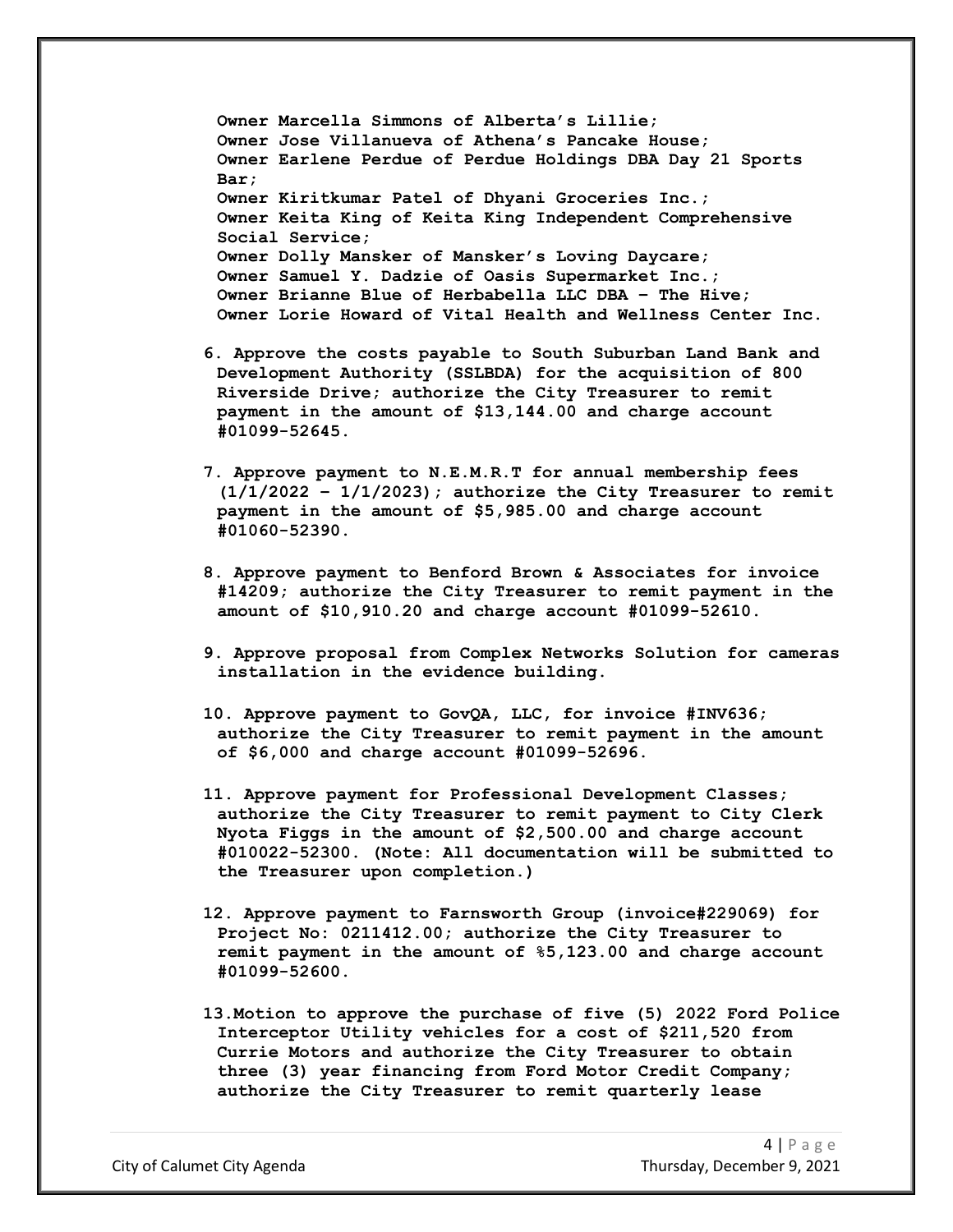**Owner Marcella Simmons of Alberta's Lillie; Owner Jose Villanueva of Athena's Pancake House; Owner Earlene Perdue of Perdue Holdings DBA Day 21 Sports Bar; Owner Kiritkumar Patel of Dhyani Groceries Inc.; Owner Keita King of Keita King Independent Comprehensive Social Service; Owner Dolly Mansker of Mansker's Loving Daycare; Owner Samuel Y. Dadzie of Oasis Supermarket Inc.; Owner Brianne Blue of Herbabella LLC DBA – The Hive; Owner Lorie Howard of Vital Health and Wellness Center Inc.**

- **6. Approve the costs payable to South Suburban Land Bank and Development Authority (SSLBDA) for the acquisition of 800 Riverside Drive; authorize the City Treasurer to remit payment in the amount of \$13,144.00 and charge account #01099-52645.**
- **7. Approve payment to N.E.M.R.T for annual membership fees (1/1/2022 – 1/1/2023); authorize the City Treasurer to remit payment in the amount of \$5,985.00 and charge account #01060-52390.**
- **8. Approve payment to Benford Brown & Associates for invoice #14209; authorize the City Treasurer to remit payment in the amount of \$10,910.20 and charge account #01099-52610.**
- **9. Approve proposal from Complex Networks Solution for cameras installation in the evidence building.**
- **10. Approve payment to GovQA, LLC, for invoice #INV636; authorize the City Treasurer to remit payment in the amount of \$6,000 and charge account #01099-52696.**
- **11. Approve payment for Professional Development Classes; authorize the City Treasurer to remit payment to City Clerk Nyota Figgs in the amount of \$2,500.00 and charge account #010022-52300. (Note: All documentation will be submitted to the Treasurer upon completion.)**
- **12. Approve payment to Farnsworth Group (invoice#229069) for Project No: 0211412.00; authorize the City Treasurer to remit payment in the amount of %5,123.00 and charge account #01099-52600.**
- **13.Motion to approve the purchase of five (5) 2022 Ford Police Interceptor Utility vehicles for a cost of \$211,520 from Currie Motors and authorize the City Treasurer to obtain three (3) year financing from Ford Motor Credit Company; authorize the City Treasurer to remit quarterly lease**